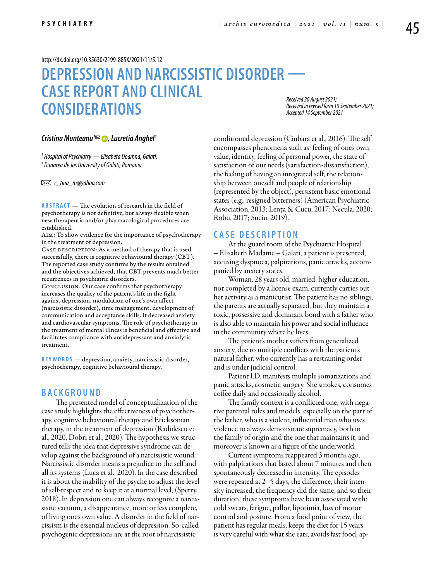[http://dx.doi.org/10.35630/2199-885X/2021/11/5.12](http://)

# **DEPRESSION AND NARCISSISTIC DISORDER — Case report and clinical considerations**

*Received 20 August 2021; Received in revised form 10 September 2021; Accepted 14 September 2021*

#### *Cristina Munteanu<sup>1</sup><sup>∞</sup> ●, Lucretia Anghel<sup>2</sup>*

*1 Hospital of Psychiatry — Elisabeta Doamna, Galati; 2 Dunarea de Jos University of Galati, Romania*

 *c\_tina\_m@yahoo.com* 

**ABSTRACT** — The evolution of research in the field of psychotherapy is not definitive, but always flexible when new therapeutic and/or pharmacological procedures are established.

Aim: To show evidence for the importance of psychotherapy in the treatment of depression.

CASE DESCRIPTION: As a method of therapy that is used successfully, there is cognitive behavioural therapy (CBT). The reported case study confirms by the results obtained and the objectives achieved, that CBT prevents much better recurrences in psychiatric disorders.

Conclusion: Our case confirms that psychotherapy increases the quality of the patient's life in the fight against depression, modulation of one's own affect (narcissistic disorder), time management, development of communication and acceptance skills. It decreased anxiety and cardiovascular symptoms. The role of psychotherapy in the treatment of mental illness is beneficial and effective and facilitates compliance with antidepressant and anxiolytic treatment.

**KEYWORDS** — depression, anxiety, narcissistic disorder, psychotherapy, cognitive behavioural therapy.

### **B a ckg r o u n d**

The presented model of conceptualization of the case study highlights the effectiveness of psychotherapy, cognitive behavioural therapy and Ericksonian therapy, in the treatment of depression (Radulescu et al., 2020, Dobri et al., 2020). The hypothesis we structured tells the idea that depressive syndrome can develop against the background of a narcissistic wound. Narcissistic disorder means a prejudice to the self and all its systems (Luca et al., 2020). In the case described it is about the inability of the psyche to adjust the level of self-respect and to keep it at a normal level, (Sperry, 2018). In depression one can always recognize a narcissistic vacuum, a disappearance, more or less complete, of living one's own value. A disorder in the field of narcissism is the essential nucleus of depression. So-called psychogenic depressions are at the root of narcissistic

conditioned depression (Ciubara et al., 2016). The self encompasses phenomena such as: feeling of one's own value, identity, feeling of personal power, the state of satisfaction of our needs (satisfaction-dissatisfaction), the feeling of having an integrated self, the relationship between oneself and people of relationship (represented by the object), persistent basic emotional states (e.g., resigned bitterness) (American Psychiatric Association, 2013; Lența & Cucu, 2017; Necula, 2020; Robu, 2017; Suciu, 2019).

#### **C ASE DESC RI P TION**

At the guard room of the Psychiatric Hospital – Elisabeth Madame – Galati, a patient is presented, accusing dyspnoea, palpitations, panic attacks, accompanied by anxiety states.

Woman, 28 years old, married, higher education, not completed by a license exam, currently carries out her activity as a manicurist. The patient has no siblings, the parents are actually separated, but they maintain a toxic, possessive and dominant bond with a father who is also able to maintain his power and social influence in the community where he lives.

The patient's mother suffers from generalized anxiety, due to multiple conflicts with the patient's natural father, who currently has a restraining order and is under judicial control.

Patient I.D. manifests multiple somatizations and panic attacks, cosmetic surgery. She smokes, consumes coffee daily and occasionally alcohol.

The family context is a conflicted one, with negative parental roles and models, especially on the part of the father, who is a violent, influential man who uses violence to always demonstrate supremacy, both in the family of origin and the one that maintains it, and moreover is known as a figure of the underworld.

Current symptoms reappeared 3 months ago, with palpitations that lasted about 7 minutes and then spontaneously decreased in intensity. The episodes were repeated at 2–5 days, the difference, their intensity increased, the frequency did the same, and so their duration; these symptoms have been associated with: cold sweats, fatigue, pallor, lipotimia, loss of motor control and posture. From a food point of view, the patient has regular meals, keeps the diet for 15 years is very careful with what she eats, avoids fast food, ap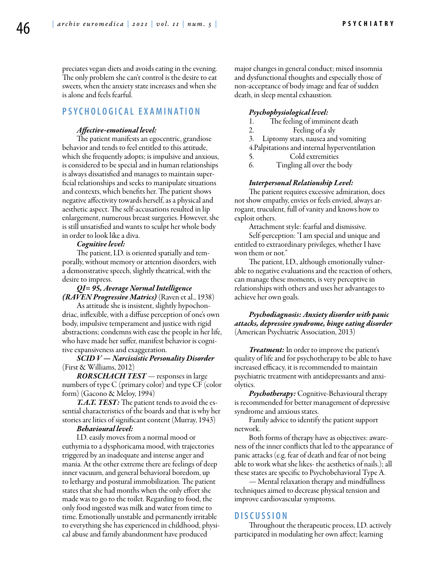preciates vegan diets and avoids eating in the evening. The only problem she can't control is the desire to eat sweets, when the anxiety state increases and when she is alone and feels fearful.

## **P SY C H OLO G IC AL E X AMINATION**

#### *Affective-emotional level:*

The patient manifests an egocentric, grandiose behavior and tends to feel entitled to this attitude, which she frequently adopts; is impulsive and anxious, is considered to be special and in human relationships is always dissatisfied and manages to maintain superficial relationships and seeks to manipulate situations and contexts, which benefits her. The patient shows negative affectivity towards herself, as a physical and aesthetic aspect. The self-accusations resulted in lip enlargement, numerous breast surgeries. However, she is still unsatisfied and wants to sculpt her whole body in order to look like a diva.

#### *Cognitive level:*

The patient, I.D. is oriented spatially and temporally, without memory or attention disorders, with a demonstrative speech, slightly theatrical, with the desire to impress.

*QI= 95, Average Normal Intelligence (RAVEN Progressive Matrics)* (Raven et al., 1938)

As attitude she is insistent, slightly hypochondriac, inflexible, with a diffuse perception of one's own body, impulsive temperament and justice with rigid abstractions; condemns with ease the people in her life, who have made her suffer, manifest behavior is cognitive expansiveness and exaggeration.

*SCID V — Narcissistic Personality Disorder* (First & Williams, 2012)

*RORSCHACH TEST* — responses in large numbers of type C (primary color) and type CF (color form) (Gacono & Meloy, 1994)

*T.A.T. TEST:* The patient tends to avoid the essential characteristics of the boards and that is why her stories are lities of significant content (Murray, 1943)

#### *Behavioural level:*

I.D. easily moves from a normal mood or euthymia to a dysphoricama mood, with trajectories triggered by an inadequate and intense anger and mania. At the other extreme there are feelings of deep inner vacuum, and general behavioral boredom, up to lethargy and postural immobilization. The patient states that she had months when the only effort she made was to go to the toilet. Regarding to food, the only food ingested was milk and water from time to time. Emotionally unstable and permanently irritable to everything she has experienced in childhood, physical abuse and family abandonment have produced

major changes in general conduct; mixed insomnia and dysfunctional thoughts and especially those of non-acceptance of body image and fear of sudden death, in sleep mental exhaustion.

#### *Psychophysiological level:*

- 1. The feeling of imminent death
- 2. Feeling of a sly
- 3. Liptomy stars, nausea and vomiting
- 4.Palpitations and internal hyperventilation
- 5. Cold extremities<br>6. Tingling all over the l
	- Tingling all over the body

#### *Interpersonal Relationship Level:*

The patient requires excessive admiration, does not show empathy, envies or feels envied, always arrogant, truculent, full of vanity and knows how to exploit others.

Attachment style: fearful and dismissive.

Self-perception: "I am special and unique and entitled to extraordinary privileges, whether I have won them or not."

The patient, I.D., although emotionally vulnerable to negative evaluations and the reaction of others, can manage these moments, is very perceptive in relationships with others and uses her advantages to achieve her own goals.

*Psychodiagnosis: Anxiety disorder with panic attacks, depressive syndrome, binge eating disorder*  (American Psychiatric Association, 2013)

*Treatment:* In order to improve the patient's quality of life and for psychotherapy to be able to have increased efficacy, it is recommended to maintain psychiatric treatment with antidepressants and anxiolytics.

*Psychotherapy:* Cognitive-Behavioural therapy is recommended for better management of depressive syndrome and anxious states.

Family advice to identify the patient support network.

Both forms of therapy have as objectives: awareness of the inner conflicts that led to the appearance of panic attacks (e.g. fear of death and fear of not being able to work what she likes- the aesthetics of nails.); all these states are specific to Psychobehavioral Type A.

— Mental relaxation therapy and mindfullness techniques aimed to decrease physical tension and improve cardiovascular symptoms.

#### **DISC U SSION**

Throughout the therapeutic process, I.D. actively participated in modulating her own affect; learning